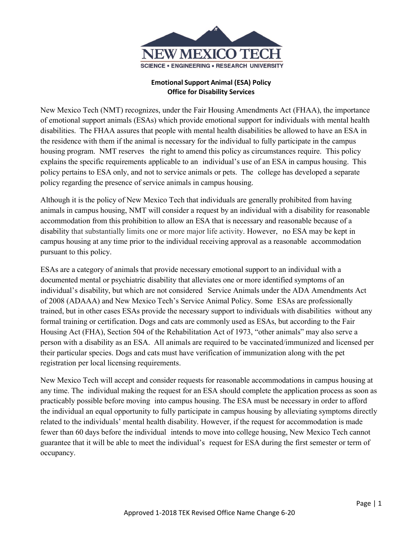

## **Emotional Support Animal (ESA) Policy Office for Disability Services**

New Mexico Tech (NMT) recognizes, under the Fair Housing Amendments Act (FHAA), the importance of emotional support animals (ESAs) which provide emotional support for individuals with mental health disabilities. The FHAA assures that people with mental health disabilities be allowed to have an ESA in the residence with them if the animal is necessary for the individual to fully participate in the campus housing program. NMT reserves the right to amend this policy as circumstances require. This policy explains the specific requirements applicable to an individual's use of an ESA in campus housing. This policy pertains to ESA only, and not to service animals or pets. The college has developed a separate policy regarding the presence of service animals in campus housing.

Although it is the policy of New Mexico Tech that individuals are generally prohibited from having animals in campus housing, NMT will consider a request by an individual with a disability for reasonable accommodation from this prohibition to allow an ESA that is necessary and reasonable because of a disability that substantially limits one or more major life activity. However, no ESA may be kept in campus housing at any time prior to the individual receiving approval as a reasonable accommodation pursuant to this policy.

ESAs are a category of animals that provide necessary emotional support to an individual with a documented mental or psychiatric disability that alleviates one or more identified symptoms of an individual's disability, but which are not considered Service Animals under the ADA Amendments Act of 2008 (ADAAA) and New Mexico Tech's Service Animal Policy. Some ESAs are professionally trained, but in other cases ESAs provide the necessary support to individuals with disabilities without any formal training or certification. Dogs and cats are commonly used as ESAs, but according to the Fair Housing Act (FHA), Section 504 of the Rehabilitation Act of 1973, "other animals" may also serve a person with a disability as an ESA. All animals are required to be vaccinated/immunized and licensed per their particular species. Dogs and cats must have verification of immunization along with the pet registration per local licensing requirements.

New Mexico Tech will accept and consider requests for reasonable accommodations in campus housing at any time. The individual making the request for an ESA should complete the application process as soon as practicably possible before moving into campus housing. The ESA must be necessary in order to afford the individual an equal opportunity to fully participate in campus housing by alleviating symptoms directly related to the individuals' mental health disability. However, if the request for accommodation is made fewer than 60 days before the individual intends to move into college housing, New Mexico Tech cannot guarantee that it will be able to meet the individual's request for ESA during the first semester or term of occupancy.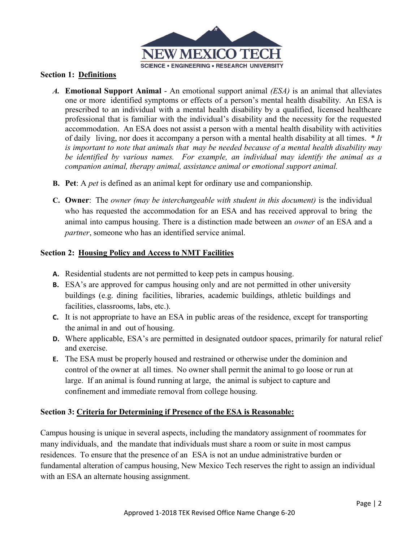

## **Section 1: Definitions**

- *A.* **Emotional Support Animal**  An emotional support animal *(ESA)* is an animal that alleviates one or more identified symptoms or effects of a person's mental health disability. An ESA is prescribed to an individual with a mental health disability by a qualified, licensed healthcare professional that is familiar with the individual's disability and the necessity for the requested accommodation. An ESA does not assist a person with a mental health disability with activities of daily living, nor does it accompany a person with a mental health disability at all times. *\* It is important to note that animals that may be needed because of a mental health disability may be identified by various names. For example, an individual may identify the animal as a companion animal, therapy animal, assistance animal or emotional support animal.*
- **B. Pet**: A *pet* is defined as an animal kept for ordinary use and companionship.
- **C. Owner**: The *owner (may be interchangeable with student in this document)* is the individual who has requested the accommodation for an ESA and has received approval to bring the animal into campus housing. There is a distinction made between an *owner* of an ESA and a *partner*, someone who has an identified service animal.

# **Section 2: Housing Policy and Access to NMT Facilities**

- **A.** Residential students are not permitted to keep pets in campus housing.
- **B.** ESA's are approved for campus housing only and are not permitted in other university buildings (e.g. dining facilities, libraries, academic buildings, athletic buildings and facilities, classrooms, labs, etc.).
- **C.** It is not appropriate to have an ESA in public areas of the residence, except for transporting the animal in and out of housing.
- **D.** Where applicable, ESA's are permitted in designated outdoor spaces, primarily for natural relief and exercise.
- **E.** The ESA must be properly housed and restrained or otherwise under the dominion and control of the owner at all times. No owner shall permit the animal to go loose or run at large. If an animal is found running at large, the animal is subject to capture and confinement and immediate removal from college housing.

## **Section 3: Criteria for Determining if Presence of the ESA is Reasonable:**

Campus housing is unique in several aspects, including the mandatory assignment of roommates for many individuals, and the mandate that individuals must share a room or suite in most campus residences. To ensure that the presence of an ESA is not an undue administrative burden or fundamental alteration of campus housing, New Mexico Tech reserves the right to assign an individual with an ESA an alternate housing assignment.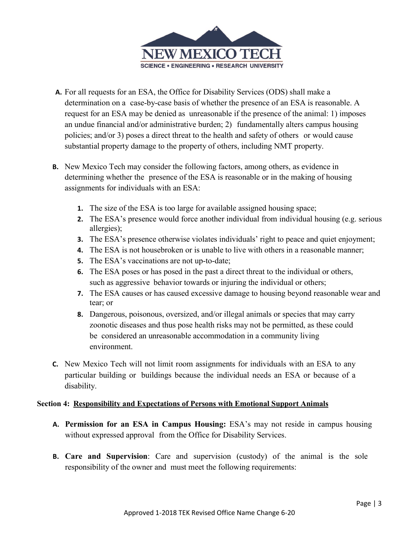

- **A.** For all requests for an ESA, the Office for Disability Services (ODS) shall make a determination on a case-by-case basis of whether the presence of an ESA is reasonable. A request for an ESA may be denied as unreasonable if the presence of the animal: 1) imposes an undue financial and/or administrative burden; 2) fundamentally alters campus housing policies; and/or 3) poses a direct threat to the health and safety of others or would cause substantial property damage to the property of others, including NMT property.
- **B.** New Mexico Tech may consider the following factors, among others, as evidence in determining whether the presence of the ESA is reasonable or in the making of housing assignments for individuals with an ESA:
	- **1.** The size of the ESA is too large for available assigned housing space;
	- **2.** The ESA's presence would force another individual from individual housing (e.g. serious allergies);
	- **3.** The ESA's presence otherwise violates individuals' right to peace and quiet enjoyment;
	- **4.** The ESA is not housebroken or is unable to live with others in a reasonable manner;
	- **5.** The ESA's vaccinations are not up-to-date;
	- **6.** The ESA poses or has posed in the past a direct threat to the individual or others, such as aggressive behavior towards or injuring the individual or others;
	- **7.** The ESA causes or has caused excessive damage to housing beyond reasonable wear and tear; or
	- **8.** Dangerous, poisonous, oversized, and/or illegal animals or species that may carry zoonotic diseases and thus pose health risks may not be permitted, as these could be considered an unreasonable accommodation in a community living environment.
- **C.** New Mexico Tech will not limit room assignments for individuals with an ESA to any particular building or buildings because the individual needs an ESA or because of a disability.

## **Section 4: Responsibility and Expectations of Persons with Emotional Support Animals**

- **A. Permission for an ESA in Campus Housing:** ESA's may not reside in campus housing without expressed approval from the Office for Disability Services.
- **B. Care and Supervision**: Care and supervision (custody) of the animal is the sole responsibility of the owner and must meet the following requirements: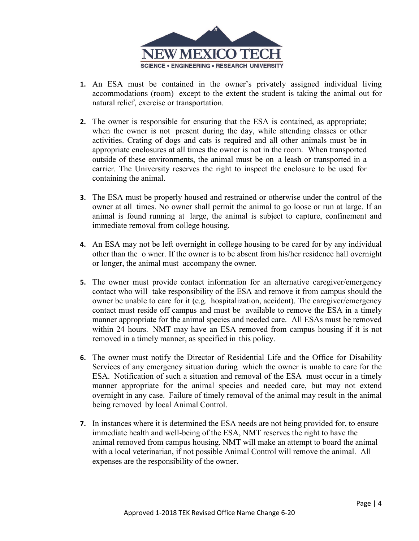

- **1.** An ESA must be contained in the owner's privately assigned individual living accommodations (room) except to the extent the student is taking the animal out for natural relief, exercise or transportation.
- **2.** The owner is responsible for ensuring that the ESA is contained, as appropriate; when the owner is not present during the day, while attending classes or other activities. Crating of dogs and cats is required and all other animals must be in appropriate enclosures at all times the owner is not in the room. When transported outside of these environments, the animal must be on a leash or transported in a carrier. The University reserves the right to inspect the enclosure to be used for containing the animal.
- **3.** The ESA must be properly housed and restrained or otherwise under the control of the owner at all times. No owner shall permit the animal to go loose or run at large. If an animal is found running at large, the animal is subject to capture, confinement and immediate removal from college housing.
- **4.** An ESA may not be left overnight in college housing to be cared for by any individual other than the o wner. If the owner is to be absent from his/her residence hall overnight or longer, the animal must accompany the owner.
- **5.** The owner must provide contact information for an alternative caregiver/emergency contact who will take responsibility of the ESA and remove it from campus should the owner be unable to care for it (e.g. hospitalization, accident). The caregiver/emergency contact must reside off campus and must be available to remove the ESA in a timely manner appropriate for the animal species and needed care. All ESAs must be removed within 24 hours. NMT may have an ESA removed from campus housing if it is not removed in a timely manner, as specified in this policy.
- **6.** The owner must notify the Director of Residential Life and the Office for Disability Services of any emergency situation during which the owner is unable to care for the ESA. Notification of such a situation and removal of the ESA must occur in a timely manner appropriate for the animal species and needed care, but may not extend overnight in any case. Failure of timely removal of the animal may result in the animal being removed by local Animal Control.
- **7.** In instances where it is determined the ESA needs are not being provided for, to ensure immediate health and well-being of the ESA, NMT reserves the right to have the animal removed from campus housing. NMT will make an attempt to board the animal with a local veterinarian, if not possible Animal Control will remove the animal. All expenses are the responsibility of the owner.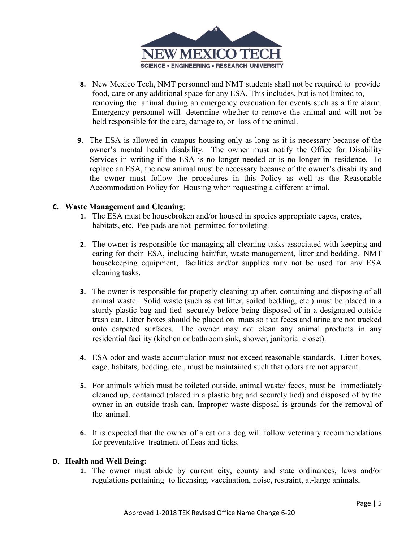

- **8.** New Mexico Tech, NMT personnel and NMT students shall not be required to provide food, care or any additional space for any ESA. This includes, but is not limited to, removing the animal during an emergency evacuation for events such as a fire alarm. Emergency personnel will determine whether to remove the animal and will not be held responsible for the care, damage to, or loss of the animal.
- **9.** The ESA is allowed in campus housing only as long as it is necessary because of the owner's mental health disability. The owner must notify the Office for Disability Services in writing if the ESA is no longer needed or is no longer in residence. To replace an ESA, the new animal must be necessary because of the owner's disability and the owner must follow the procedures in this Policy as well as the Reasonable Accommodation Policy for Housing when requesting a different animal.

#### **C. Waste Management and Cleaning**:

- **1.** The ESA must be housebroken and/or housed in species appropriate cages, crates, habitats, etc. Pee pads are not permitted for toileting.
- **2.** The owner is responsible for managing all cleaning tasks associated with keeping and caring for their ESA, including hair/fur, waste management, litter and bedding. NMT housekeeping equipment, facilities and/or supplies may not be used for any ESA cleaning tasks.
- **3.** The owner is responsible for properly cleaning up after, containing and disposing of all animal waste. Solid waste (such as cat litter, soiled bedding, etc.) must be placed in a sturdy plastic bag and tied securely before being disposed of in a designated outside trash can. Litter boxes should be placed on mats so that feces and urine are not tracked onto carpeted surfaces. The owner may not clean any animal products in any residential facility (kitchen or bathroom sink, shower, janitorial closet).
- **4.** ESA odor and waste accumulation must not exceed reasonable standards. Litter boxes, cage, habitats, bedding, etc., must be maintained such that odors are not apparent.
- **5.** For animals which must be toileted outside, animal waste/ feces, must be immediately cleaned up, contained (placed in a plastic bag and securely tied) and disposed of by the owner in an outside trash can. Improper waste disposal is grounds for the removal of the animal.
- **6.** It is expected that the owner of a cat or a dog will follow veterinary recommendations for preventative treatment of fleas and ticks.

#### **D. Health and Well Being:**

**1.** The owner must abide by current city, county and state ordinances, laws and/or regulations pertaining to licensing, vaccination, noise, restraint, at-large animals,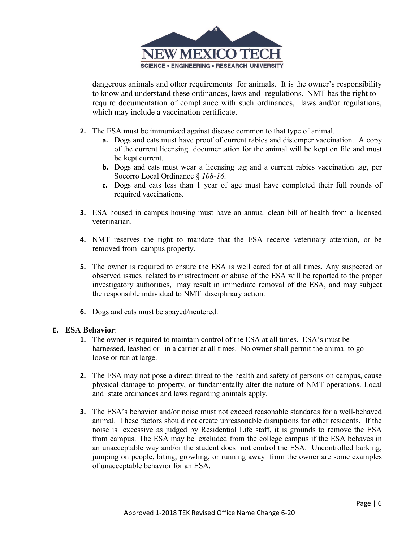

dangerous animals and other requirements for animals. It is the owner's responsibility to know and understand these ordinances, laws and regulations. NMT has the right to require documentation of compliance with such ordinances, laws and/or regulations, which may include a vaccination certificate.

- **2.** The ESA must be immunized against disease common to that type of animal.
	- **a.** Dogs and cats must have proof of current rabies and distemper vaccination. A copy of the current licensing documentation for the animal will be kept on file and must be kept current.
	- **b.** Dogs and cats must wear a licensing tag and a current rabies vaccination tag, per Socorro Local Ordinance § *108-16*.
	- **c.** Dogs and cats less than 1 year of age must have completed their full rounds of required vaccinations.
- **3.** ESA housed in campus housing must have an annual clean bill of health from a licensed veterinarian.
- **4.** NMT reserves the right to mandate that the ESA receive veterinary attention, or be removed from campus property.
- **5.** The owner is required to ensure the ESA is well cared for at all times. Any suspected or observed issues related to mistreatment or abuse of the ESA will be reported to the proper investigatory authorities, may result in immediate removal of the ESA, and may subject the responsible individual to NMT disciplinary action.
- **6.** Dogs and cats must be spayed/neutered.

#### **E. ESA Behavior**:

- **1.** The owner is required to maintain control of the ESA at all times. ESA's must be harnessed, leashed or in a carrier at all times. No owner shall permit the animal to go loose or run at large.
- **2.** The ESA may not pose a direct threat to the health and safety of persons on campus, cause physical damage to property, or fundamentally alter the nature of NMT operations. Local and state ordinances and laws regarding animals apply.
- **3.** The ESA's behavior and/or noise must not exceed reasonable standards for a well-behaved animal. These factors should not create unreasonable disruptions for other residents. If the noise is excessive as judged by Residential Life staff, it is grounds to remove the ESA from campus. The ESA may be excluded from the college campus if the ESA behaves in an unacceptable way and/or the student does not control the ESA. Uncontrolled barking, jumping on people, biting, growling, or running away from the owner are some examples of unacceptable behavior for an ESA.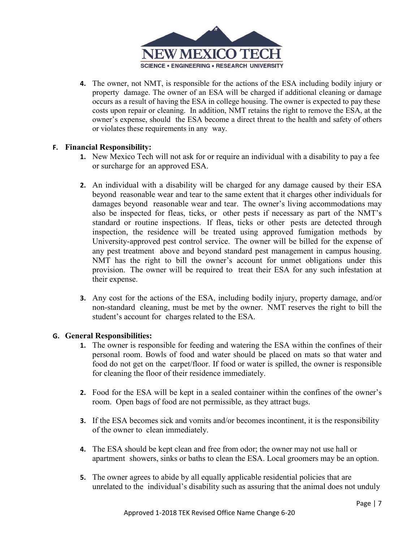

**4.** The owner, not NMT, is responsible for the actions of the ESA including bodily injury or property damage. The owner of an ESA will be charged if additional cleaning or damage occurs as a result of having the ESA in college housing. The owner is expected to pay these costs upon repair or cleaning. In addition, NMT retains the right to remove the ESA, at the owner's expense, should the ESA become a direct threat to the health and safety of others or violates these requirements in any way.

## **F. Financial Responsibility:**

- **1.** New Mexico Tech will not ask for or require an individual with a disability to pay a fee or surcharge for an approved ESA.
- **2.** An individual with a disability will be charged for any damage caused by their ESA beyond reasonable wear and tear to the same extent that it charges other individuals for damages beyond reasonable wear and tear. The owner's living accommodations may also be inspected for fleas, ticks, or other pests if necessary as part of the NMT's standard or routine inspections. If fleas, ticks or other pests are detected through inspection, the residence will be treated using approved fumigation methods by University-approved pest control service. The owner will be billed for the expense of any pest treatment above and beyond standard pest management in campus housing. NMT has the right to bill the owner's account for unmet obligations under this provision. The owner will be required to treat their ESA for any such infestation at their expense.
- **3.** Any cost for the actions of the ESA, including bodily injury, property damage, and/or non-standard cleaning, must be met by the owner. NMT reserves the right to bill the student's account for charges related to the ESA.

## **G. General Responsibilities:**

- **1.** The owner is responsible for feeding and watering the ESA within the confines of their personal room. Bowls of food and water should be placed on mats so that water and food do not get on the carpet/floor. If food or water is spilled, the owner is responsible for cleaning the floor of their residence immediately.
- **2.** Food for the ESA will be kept in a sealed container within the confines of the owner's room. Open bags of food are not permissible, as they attract bugs.
- **3.** If the ESA becomes sick and vomits and/or becomes incontinent, it is the responsibility of the owner to clean immediately.
- **4.** The ESA should be kept clean and free from odor; the owner may not use hall or apartment showers, sinks or baths to clean the ESA. Local groomers may be an option.
- **5.** The owner agrees to abide by all equally applicable residential policies that are unrelated to the individual's disability such as assuring that the animal does not unduly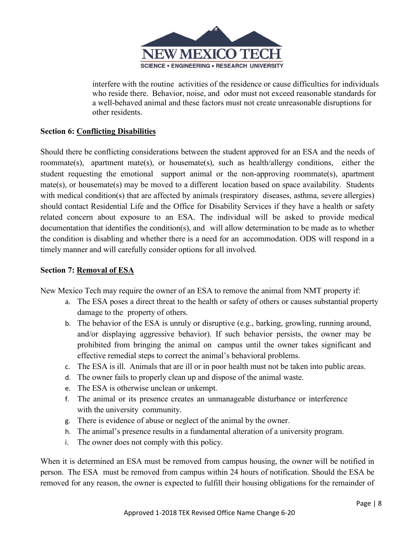

interfere with the routine activities of the residence or cause difficulties for individuals who reside there. Behavior, noise, and odor must not exceed reasonable standards for a well-behaved animal and these factors must not create unreasonable disruptions for other residents.

# **Section 6: Conflicting Disabilities**

Should there be conflicting considerations between the student approved for an ESA and the needs of roommate(s), apartment mate(s), or housemate(s), such as health/allergy conditions, either the student requesting the emotional support animal or the non-approving roommate(s), apartment mate(s), or housemate(s) may be moved to a different location based on space availability. Students with medical condition(s) that are affected by animals (respiratory diseases, asthma, severe allergies) should contact Residential Life and the Office for Disability Services if they have a health or safety related concern about exposure to an ESA. The individual will be asked to provide medical documentation that identifies the condition(s), and will allow determination to be made as to whether the condition is disabling and whether there is a need for an accommodation. ODS will respond in a timely manner and will carefully consider options for all involved.

# **Section 7: Removal of ESA**

New Mexico Tech may require the owner of an ESA to remove the animal from NMT property if:

- a. The ESA poses a direct threat to the health or safety of others or causes substantial property damage to the property of others.
- b. The behavior of the ESA is unruly or disruptive (e.g., barking, growling, running around, and/or displaying aggressive behavior). If such behavior persists, the owner may be prohibited from bringing the animal on campus until the owner takes significant and effective remedial steps to correct the animal's behavioral problems.
- c. The ESA is ill. Animals that are ill or in poor health must not be taken into public areas.
- d. The owner fails to properly clean up and dispose of the animal waste.
- e. The ESA is otherwise unclean or unkempt.
- f. The animal or its presence creates an unmanageable disturbance or interference with the university community.
- g. There is evidence of abuse or neglect of the animal by the owner.
- h. The animal's presence results in a fundamental alteration of a university program.
- i. The owner does not comply with this policy.

When it is determined an ESA must be removed from campus housing, the owner will be notified in person. The ESA must be removed from campus within 24 hours of notification. Should the ESA be removed for any reason, the owner is expected to fulfill their housing obligations for the remainder of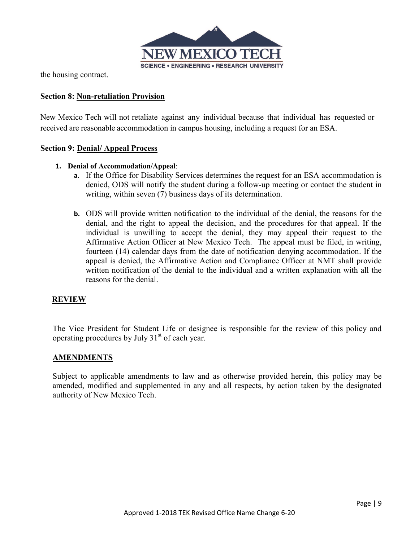

the housing contract.

### **Section 8: Non-retaliation Provision**

New Mexico Tech will not retaliate against any individual because that individual has requested or received are reasonable accommodation in campus housing, including a request for an ESA.

#### **Section 9: Denial/ Appeal Process**

#### **1. Denial of Accommodation/Appeal**:

- **a.** If the Office for Disability Services determines the request for an ESA accommodation is denied, ODS will notify the student during a follow-up meeting or contact the student in writing, within seven (7) business days of its determination.
- **b.** ODS will provide written notification to the individual of the denial, the reasons for the denial, and the right to appeal the decision, and the procedures for that appeal. If the individual is unwilling to accept the denial, they may appeal their request to the Affirmative Action Officer at New Mexico Tech. The appeal must be filed, in writing, fourteen (14) calendar days from the date of notification denying accommodation. If the appeal is denied, the Affirmative Action and Compliance Officer at NMT shall provide written notification of the denial to the individual and a written explanation with all the reasons for the denial.

#### **REVIEW**

The Vice President for Student Life or designee is responsible for the review of this policy and operating procedures by July 31<sup>st</sup> of each year.

#### **AMENDMENTS**

Subject to applicable amendments to law and as otherwise provided herein, this policy may be amended, modified and supplemented in any and all respects, by action taken by the designated authority of New Mexico Tech.